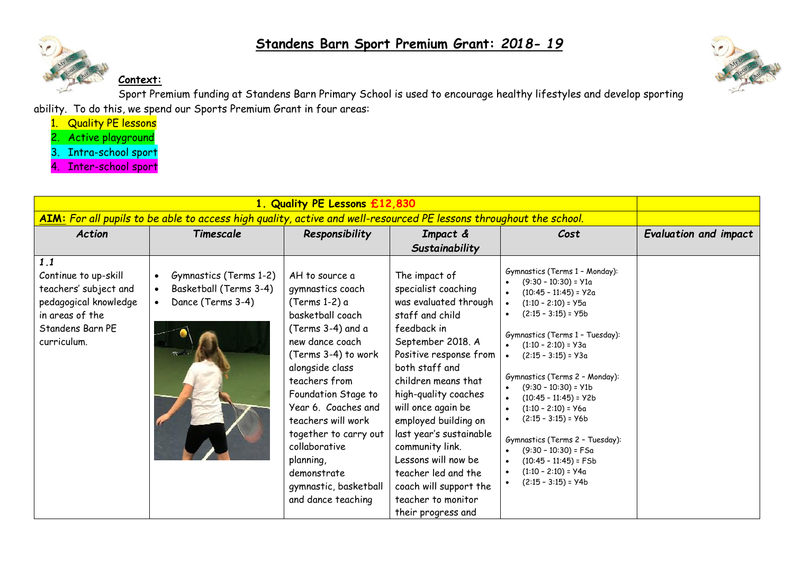



**Context:**

Sport Premium funding at Standens Barn Primary School is used to encourage healthy lifestyles and develop sporting ability. To do this, we spend our Sports Premium Grant in four areas:

- 1. Quality PE lessons
- 2. Active playground
- 3. Intra-school sport
- 4. Inter-school sport

|                                                                                                                                     | AIM: For all pupils to be able to access high quality, active and well-resourced PE lessons throughout the school. |                                                                                                                                                                                                                                                                                                                                                                     |                                                                                                                                                                                                                                                                                                                                                                                                                                 |                                                                                                                                                                                                                                                                                                                                                                                                                                                                                                               |                       |
|-------------------------------------------------------------------------------------------------------------------------------------|--------------------------------------------------------------------------------------------------------------------|---------------------------------------------------------------------------------------------------------------------------------------------------------------------------------------------------------------------------------------------------------------------------------------------------------------------------------------------------------------------|---------------------------------------------------------------------------------------------------------------------------------------------------------------------------------------------------------------------------------------------------------------------------------------------------------------------------------------------------------------------------------------------------------------------------------|---------------------------------------------------------------------------------------------------------------------------------------------------------------------------------------------------------------------------------------------------------------------------------------------------------------------------------------------------------------------------------------------------------------------------------------------------------------------------------------------------------------|-----------------------|
| <b>Action</b>                                                                                                                       | Timescale                                                                                                          | Responsibility                                                                                                                                                                                                                                                                                                                                                      | Impact &                                                                                                                                                                                                                                                                                                                                                                                                                        | Cost                                                                                                                                                                                                                                                                                                                                                                                                                                                                                                          | Evaluation and impact |
|                                                                                                                                     |                                                                                                                    |                                                                                                                                                                                                                                                                                                                                                                     | Sustainability                                                                                                                                                                                                                                                                                                                                                                                                                  |                                                                                                                                                                                                                                                                                                                                                                                                                                                                                                               |                       |
| 1.1<br>Continue to up-skill<br>teachers' subject and<br>pedagogical knowledge<br>in areas of the<br>Standens Barn PE<br>curriculum. | Gymnastics (Terms 1-2)<br>$\bullet$<br>Basketball (Terms 3-4)<br>$\bullet$<br>Dance (Terms 3-4)<br>$\bullet$       | AH to source a<br>gymnastics coach<br>(Terms 1-2) a<br>basketball coach<br>(Terms 3-4) and a<br>new dance coach<br>(Terms 3-4) to work<br>alongside class<br>teachers from<br>Foundation Stage to<br>Year 6. Coaches and<br>teachers will work<br>together to carry out<br>collaborative<br>planning,<br>demonstrate<br>gymnastic, basketball<br>and dance teaching | The impact of<br>specialist coaching<br>was evaluated through<br>staff and child<br>feedback in<br>September 2018. A<br>Positive response from<br>both staff and<br>children means that<br>high-quality coaches<br>will once again be<br>employed building on<br>last year's sustainable<br>community link.<br>Lessons will now be<br>teacher led and the<br>coach will support the<br>teacher to monitor<br>their progress and | Gymnastics (Terms 1 - Monday):<br>$(9:30 - 10:30) = Y1a$<br>$(10:45 - 11:45) = Y2a$<br>$(1:10 - 2:10) = 95a$<br>$(2:15 - 3:15) = Y5b$<br>Gymnastics (Terms 1 - Tuesday):<br>$(1:10 - 2:10) = Y3a$<br>$(2:15 - 3:15) = Y3a$<br>Gymnastics (Terms 2 - Monday):<br>$(9:30 - 10:30) = Y1b$<br>$(10:45 - 11:45) = Y2b$<br>$(1:10 - 2:10) = 96a$<br>$(2:15 - 3:15) = Y6b$<br>Gymnastics (Terms 2 - Tuesday):<br>$(9:30 - 10:30) = FSa$<br>$(10:45 - 11:45) = F5b$<br>$(1:10 - 2:10) = 94a$<br>$(2:15 - 3:15) = 94b$ |                       |

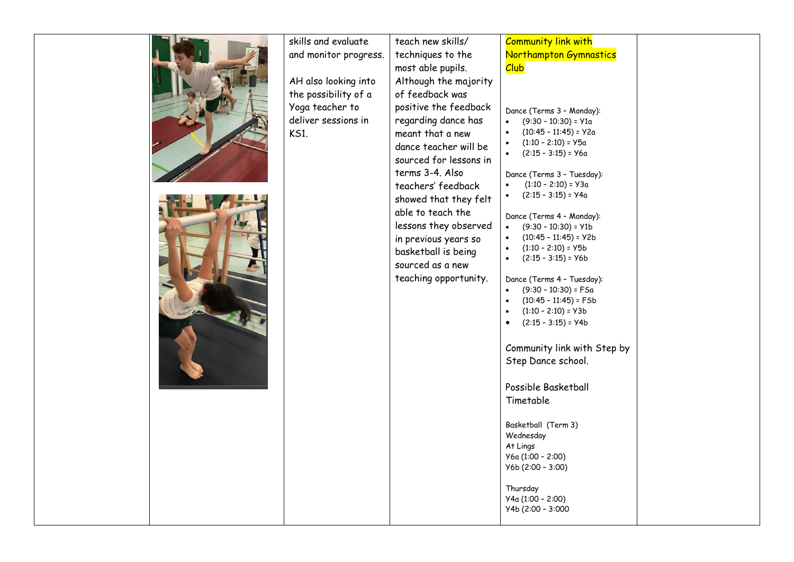| skills and evaluate   | teach new skills/      | <b>Community link with</b>                                       |  |
|-----------------------|------------------------|------------------------------------------------------------------|--|
| and monitor progress. | techniques to the      | Northampton Gymnastics                                           |  |
|                       | most able pupils.      | <b>Club</b>                                                      |  |
| AH also looking into  | Although the majority  |                                                                  |  |
| the possibility of a  | of feedback was        |                                                                  |  |
| Yoga teacher to       | positive the feedback  |                                                                  |  |
| deliver sessions in   | regarding dance has    | Dance (Terms 3 - Monday):<br>$(9:30 - 10:30) = 91a$<br>$\bullet$ |  |
| <b>KS1.</b>           | meant that a new       | $(10:45 - 11:45) = Y2a$                                          |  |
|                       | dance teacher will be  | $(1:10 - 2:10) = 95a$<br>$\bullet$                               |  |
|                       | sourced for lessons in | $(2:15 - 3:15) = Y6a$                                            |  |
|                       | terms 3-4. Also        | Dance (Terms 3 - Tuesday):                                       |  |
|                       | teachers' feedback     | $(1:10 - 2:10) = Y3a$                                            |  |
|                       | showed that they felt  | $(2:15 - 3:15) = 94a$<br>$\bullet$                               |  |
|                       | able to teach the      |                                                                  |  |
|                       | lessons they observed  | Dance (Terms 4 - Monday):<br>$(9:30 - 10:30) = Y1b$<br>$\bullet$ |  |
|                       | in previous years so   | $(10:45 - 11:45) = Y2b$                                          |  |
|                       | basketball is being    | $(1:10 - 2:10) = Y5b$<br>$\bullet$                               |  |
|                       | sourced as a new       | $(2:15 - 3:15) = Y6b$<br>$\bullet$                               |  |
|                       | teaching opportunity.  | Dance (Terms 4 - Tuesday):                                       |  |
|                       |                        | $(9:30 - 10:30) = FSA$                                           |  |
|                       |                        | $\bullet$<br>$(10:45 - 11:45) = F5b$                             |  |
|                       |                        | $(1:10 - 2:10) = Y3b$<br>$\bullet$                               |  |
|                       |                        | $(2:15 - 3:15) = 94b$                                            |  |
|                       |                        | Community link with Step by                                      |  |
|                       |                        | Step Dance school.                                               |  |
|                       |                        |                                                                  |  |
|                       |                        | Possible Basketball                                              |  |
|                       |                        | Timetable                                                        |  |
|                       |                        |                                                                  |  |
|                       |                        | Basketball (Term 3)                                              |  |
|                       |                        | Wednesday                                                        |  |
|                       |                        | At Lings                                                         |  |
|                       |                        | У6а (1:00 - 2:00)<br>$Y6b (2:00 - 3:00)$                         |  |
|                       |                        |                                                                  |  |
|                       |                        | Thursday                                                         |  |
|                       |                        | У4a (1:00 - 2:00)                                                |  |
|                       |                        | Y4b (2:00 - 3:000                                                |  |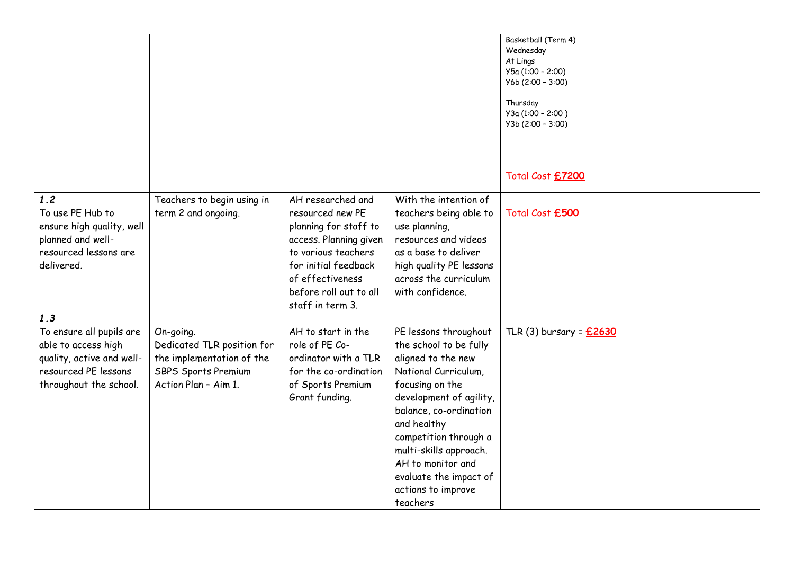|                                                                                                                                       |                                                                                                                            |                                                                                                                                                                                                           |                                                                                                                                                                                                                                                                                                                          | Basketball (Term 4)<br>Wednesday<br>At Lings<br>У5а (1:00 - 2:00)<br>$Y6b (2:00 - 3:00)$<br>Thursday<br>УЗа (1:00 - 2:00)<br>$Y3b(2:00 - 3:00)$<br>Total Cost £7200 |  |
|---------------------------------------------------------------------------------------------------------------------------------------|----------------------------------------------------------------------------------------------------------------------------|-----------------------------------------------------------------------------------------------------------------------------------------------------------------------------------------------------------|--------------------------------------------------------------------------------------------------------------------------------------------------------------------------------------------------------------------------------------------------------------------------------------------------------------------------|---------------------------------------------------------------------------------------------------------------------------------------------------------------------|--|
| 1.2<br>To use PE Hub to<br>ensure high quality, well<br>planned and well-<br>resourced lessons are<br>delivered.                      | Teachers to begin using in<br>term 2 and ongoing.                                                                          | AH researched and<br>resourced new PE<br>planning for staff to<br>access. Planning given<br>to various teachers<br>for initial feedback<br>of effectiveness<br>before roll out to all<br>staff in term 3. | With the intention of<br>teachers being able to<br>use planning,<br>resources and videos<br>as a base to deliver<br>high quality PE lessons<br>across the curriculum<br>with confidence.                                                                                                                                 | Total Cost £500                                                                                                                                                     |  |
| 1.3<br>To ensure all pupils are<br>able to access high<br>quality, active and well-<br>resourced PE lessons<br>throughout the school. | On-going.<br>Dedicated TLR position for<br>the implementation of the<br><b>SBPS Sports Premium</b><br>Action Plan - Aim 1. | AH to start in the<br>role of PE Co-<br>ordinator with a TLR<br>for the co-ordination<br>of Sports Premium<br>Grant funding.                                                                              | PE lessons throughout<br>the school to be fully<br>aligned to the new<br>National Curriculum,<br>focusing on the<br>development of agility,<br>balance, co-ordination<br>and healthy<br>competition through a<br>multi-skills approach.<br>AH to monitor and<br>evaluate the impact of<br>actions to improve<br>teachers | TLR (3) bursary = £2630                                                                                                                                             |  |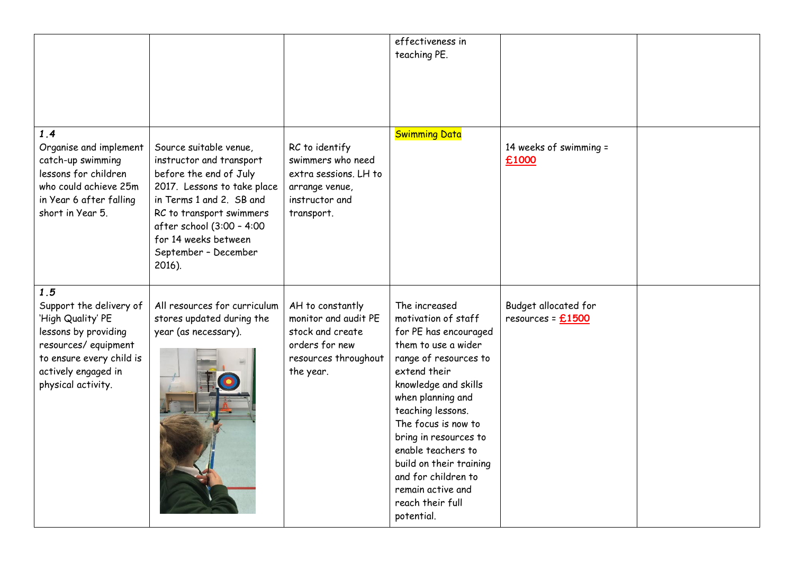|                                                                                                                                                                             |                                                                                                                                                                                                                                                            |                                                                                                                     | effectiveness in<br>teaching PE.                                                                                                                                                                                                                                                                                                                                               |                                           |  |
|-----------------------------------------------------------------------------------------------------------------------------------------------------------------------------|------------------------------------------------------------------------------------------------------------------------------------------------------------------------------------------------------------------------------------------------------------|---------------------------------------------------------------------------------------------------------------------|--------------------------------------------------------------------------------------------------------------------------------------------------------------------------------------------------------------------------------------------------------------------------------------------------------------------------------------------------------------------------------|-------------------------------------------|--|
| 1.4<br>Organise and implement<br>catch-up swimming<br>lessons for children<br>who could achieve 25m<br>in Year 6 after falling<br>short in Year 5.                          | Source suitable venue,<br>instructor and transport<br>before the end of July<br>2017. Lessons to take place<br>in Terms 1 and 2. SB and<br>RC to transport swimmers<br>after school (3:00 - 4:00<br>for 14 weeks between<br>September - December<br>2016). | RC to identify<br>swimmers who need<br>extra sessions. LH to<br>arrange venue,<br>instructor and<br>transport.      | <b>Swimming Data</b>                                                                                                                                                                                                                                                                                                                                                           | 14 weeks of swimming =<br>£1000           |  |
| 1.5<br>Support the delivery of<br>'High Quality' PE<br>lessons by providing<br>resources/equipment<br>to ensure every child is<br>actively engaged in<br>physical activity. | All resources for curriculum<br>stores updated during the<br>year (as necessary).                                                                                                                                                                          | AH to constantly<br>monitor and audit PE<br>stock and create<br>orders for new<br>resources throughout<br>the year. | The increased<br>motivation of staff<br>for PE has encouraged<br>them to use a wider<br>range of resources to<br>extend their<br>knowledge and skills<br>when planning and<br>teaching lessons.<br>The focus is now to<br>bring in resources to<br>enable teachers to<br>build on their training<br>and for children to<br>remain active and<br>reach their full<br>potential. | Budget allocated for<br>resources = £1500 |  |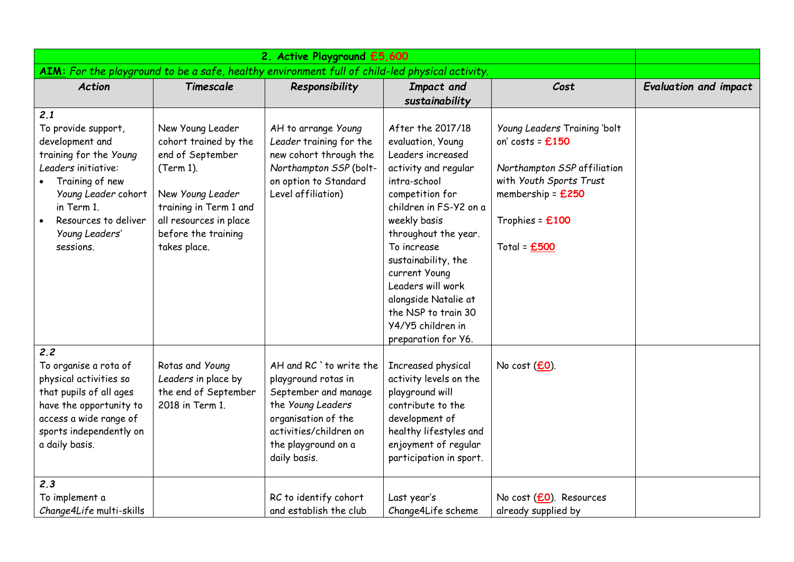| AIM: For the playground to be a safe, healthy environment full of child-led physical activity.                                                                                                                |                                                                                                                                                                                           |                                                                                                                                                                                     |                                                                                                                                                                                                                                                                                                                                                                 |                                                                                                                                                                        |                              |
|---------------------------------------------------------------------------------------------------------------------------------------------------------------------------------------------------------------|-------------------------------------------------------------------------------------------------------------------------------------------------------------------------------------------|-------------------------------------------------------------------------------------------------------------------------------------------------------------------------------------|-----------------------------------------------------------------------------------------------------------------------------------------------------------------------------------------------------------------------------------------------------------------------------------------------------------------------------------------------------------------|------------------------------------------------------------------------------------------------------------------------------------------------------------------------|------------------------------|
| <b>Action</b>                                                                                                                                                                                                 | Timescale                                                                                                                                                                                 | Responsibility                                                                                                                                                                      | Impact and<br>sustainability                                                                                                                                                                                                                                                                                                                                    | Cost                                                                                                                                                                   | <b>Evaluation and impact</b> |
| 2.1<br>To provide support,<br>development and<br>training for the Young<br>Leaders initiative:<br>Training of new<br>Young Leader cohort<br>in Term 1.<br>Resources to deliver<br>Young Leaders'<br>sessions. | New Young Leader<br>cohort trained by the<br>end of September<br>(Term 1).<br>New Young Leader<br>training in Term 1 and<br>all resources in place<br>before the training<br>takes place. | AH to arrange Young<br>Leader training for the<br>new cohort through the<br>Northampton SSP (bolt-<br>on option to Standard<br>Level affiliation)                                   | After the 2017/18<br>evaluation, Young<br>Leaders increased<br>activity and regular<br>intra-school<br>competition for<br>children in FS-Y2 on a<br>weekly basis<br>throughout the year.<br>To increase<br>sustainability, the<br>current Young<br>Leaders will work<br>alongside Natalie at<br>the NSP to train 30<br>Y4/Y5 children in<br>preparation for Y6. | Young Leaders Training 'bolt<br>on' costs = $£150$<br>Northampton SSP affiliation<br>with Youth Sports Trust<br>membership = £250<br>Trophies = £100<br>Total = $£500$ |                              |
| 2.2<br>To organise a rota of<br>physical activities so<br>that pupils of all ages<br>have the opportunity to<br>access a wide range of<br>sports independently on<br>a daily basis.                           | Rotas and Young<br>Leaders in place by<br>the end of September<br>2018 in Term 1.                                                                                                         | AH and RC `to write the<br>playground rotas in<br>September and manage<br>the Young Leaders<br>organisation of the<br>activities/children on<br>the playground on a<br>daily basis. | Increased physical<br>activity levels on the<br>playground will<br>contribute to the<br>development of<br>healthy lifestyles and<br>enjoyment of regular<br>participation in sport.                                                                                                                                                                             | No cost $(£0)$ .                                                                                                                                                       |                              |
| 2.3<br>To implement a<br>Change4Life multi-skills                                                                                                                                                             |                                                                                                                                                                                           | RC to identify cohort<br>and establish the club                                                                                                                                     | Last year's<br>Change4Life scheme                                                                                                                                                                                                                                                                                                                               | No cost (£0). Resources<br>already supplied by                                                                                                                         |                              |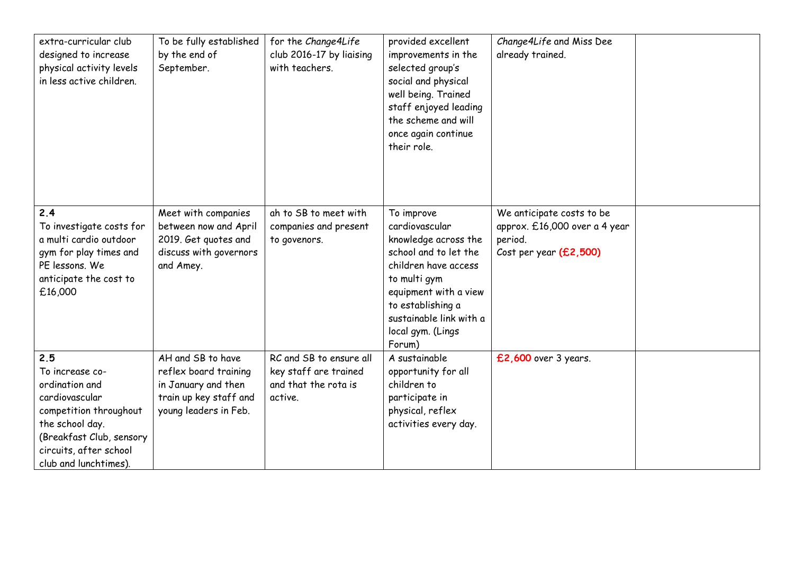| extra-curricular club<br>designed to increase<br>physical activity levels<br>in less active children.                                                                                  | To be fully established<br>by the end of<br>September.                                                               | for the Change4Life<br>club 2016-17 by liaising<br>with teachers.                   | provided excellent<br>improvements in the<br>selected group's<br>social and physical<br>well being. Trained<br>staff enjoyed leading<br>the scheme and will<br>once again continue<br>their role.                             | Change4Life and Miss Dee<br>already trained.                                                    |  |
|----------------------------------------------------------------------------------------------------------------------------------------------------------------------------------------|----------------------------------------------------------------------------------------------------------------------|-------------------------------------------------------------------------------------|-------------------------------------------------------------------------------------------------------------------------------------------------------------------------------------------------------------------------------|-------------------------------------------------------------------------------------------------|--|
| 2.4<br>To investigate costs for<br>a multi cardio outdoor<br>gym for play times and<br>PE lessons. We<br>anticipate the cost to<br>£16,000                                             | Meet with companies<br>between now and April<br>2019. Get quotes and<br>discuss with governors<br>and Amey.          | ah to SB to meet with<br>companies and present<br>to govenors.                      | To improve<br>cardiovascular<br>knowledge across the<br>school and to let the<br>children have access<br>to multi gym<br>equipment with a view<br>to establishing a<br>sustainable link with a<br>local gym. (Lings<br>Forum) | We anticipate costs to be<br>approx. £16,000 over a 4 year<br>period.<br>Cost per year (£2,500) |  |
| 2.5<br>To increase co-<br>ordination and<br>cardiovascular<br>competition throughout<br>the school day.<br>(Breakfast Club, sensory<br>circuits, after school<br>club and lunchtimes). | AH and SB to have<br>reflex board training<br>in January and then<br>train up key staff and<br>young leaders in Feb. | RC and SB to ensure all<br>key staff are trained<br>and that the rota is<br>active. | A sustainable<br>opportunity for all<br>children to<br>participate in<br>physical, reflex<br>activities every day.                                                                                                            | £2,600 over 3 years.                                                                            |  |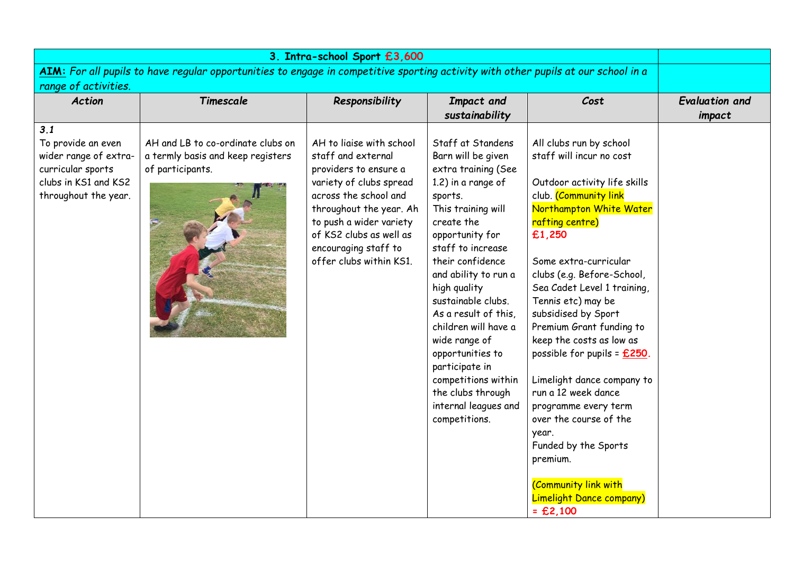| 3. Intra-school Sport £3,600                                                                                                      |                                                                                            |                                                                                                                                                                                                                                                                 |                                                                                                                                                                                                                                                                                                                                                                                                                                                           |                                                                                                                                                                                                                                                                                                                                                                                                                                                                                                                                                                                                                                |                                 |  |  |
|-----------------------------------------------------------------------------------------------------------------------------------|--------------------------------------------------------------------------------------------|-----------------------------------------------------------------------------------------------------------------------------------------------------------------------------------------------------------------------------------------------------------------|-----------------------------------------------------------------------------------------------------------------------------------------------------------------------------------------------------------------------------------------------------------------------------------------------------------------------------------------------------------------------------------------------------------------------------------------------------------|--------------------------------------------------------------------------------------------------------------------------------------------------------------------------------------------------------------------------------------------------------------------------------------------------------------------------------------------------------------------------------------------------------------------------------------------------------------------------------------------------------------------------------------------------------------------------------------------------------------------------------|---------------------------------|--|--|
| AIM: For all pupils to have regular opportunities to engage in competitive sporting activity with other pupils at our school in a |                                                                                            |                                                                                                                                                                                                                                                                 |                                                                                                                                                                                                                                                                                                                                                                                                                                                           |                                                                                                                                                                                                                                                                                                                                                                                                                                                                                                                                                                                                                                |                                 |  |  |
| range of activities.<br><b>Action</b>                                                                                             | Timescale                                                                                  | Responsibility                                                                                                                                                                                                                                                  | Impact and<br>sustainability                                                                                                                                                                                                                                                                                                                                                                                                                              | Cost                                                                                                                                                                                                                                                                                                                                                                                                                                                                                                                                                                                                                           | <b>Evaluation and</b><br>impact |  |  |
| 3.1<br>To provide an even<br>wider range of extra-<br>curricular sports<br>clubs in KS1 and KS2<br>throughout the year.           | AH and LB to co-ordinate clubs on<br>a termly basis and keep registers<br>of participants. | AH to ligise with school<br>staff and external<br>providers to ensure a<br>variety of clubs spread<br>across the school and<br>throughout the year. Ah<br>to push a wider variety<br>of KS2 clubs as well as<br>encouraging staff to<br>offer clubs within KS1. | Staff at Standens<br>Barn will be given<br>extra training (See<br>1.2) in a range of<br>sports.<br>This training will<br>create the<br>opportunity for<br>staff to increase<br>their confidence<br>and ability to run a<br>high quality<br>sustainable clubs.<br>As a result of this,<br>children will have a<br>wide range of<br>opportunities to<br>participate in<br>competitions within<br>the clubs through<br>internal leagues and<br>competitions. | All clubs run by school<br>staff will incur no cost<br>Outdoor activity life skills<br>club. (Community link<br>Northampton White Water<br>rafting centre)<br>£1,250<br>Some extra-curricular<br>clubs (e.g. Before-School,<br>Sea Cadet Level 1 training,<br>Tennis etc) may be<br>subsidised by Sport<br>Premium Grant funding to<br>keep the costs as low as<br>possible for pupils = $£250$ .<br>Limelight dance company to<br>run a 12 week dance<br>programme every term<br>over the course of the<br>year.<br>Funded by the Sports<br>premium.<br>(Community link with<br><b>Limelight Dance company)</b><br>$=$ £2,100 |                                 |  |  |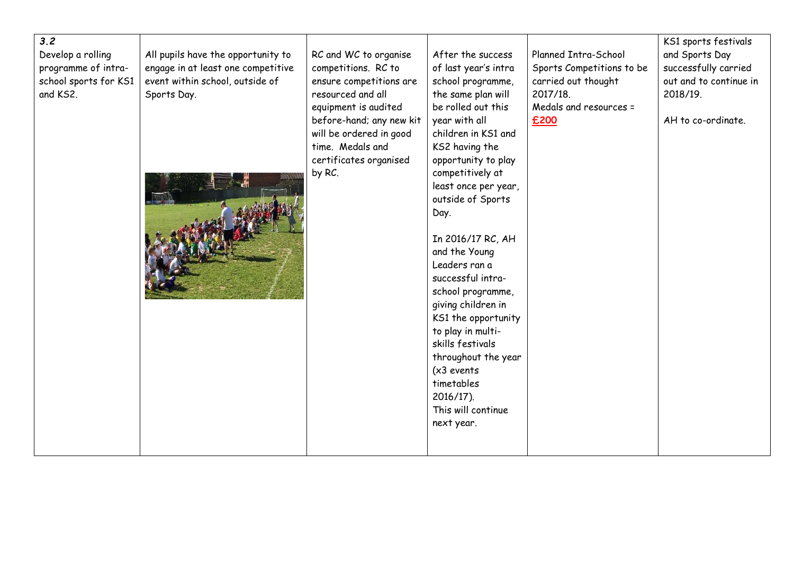| 3.2<br>Develop a rolling<br>programme of intra-<br>school sports for KS1<br>and KS2. | All pupils have the opportunity to<br>engage in at least one competitive<br>event within school, outside of<br>Sports Day. | RC and WC to organise<br>competitions. RC to<br>ensure competitions are<br>resourced and all<br>equipment is audited<br>before-hand; any new kit<br>will be ordered in good<br>time. Medals and<br>certificates organised<br>by RC. | After the success<br>of last year's intra<br>school programme,<br>the same plan will<br>be rolled out this<br>year with all<br>children in KS1 and<br>KS2 having the<br>opportunity to play<br>competitively at<br>least once per year,<br>outside of Sports<br>Day.<br>In 2016/17 RC, AH<br>and the Young<br>Leaders ran a<br>successful intra-<br>school programme,<br>giving children in<br>KS1 the opportunity<br>to play in multi-<br>skills festivals<br>throughout the year<br>$(x3$ events<br>timetables<br>$2016/17$ ). | Planned Intra-School<br>Sports Competitions to be<br>carried out thought<br>2017/18.<br>Medals and resources =<br>£200 | KS1 sports festivals<br>and Sports Day<br>successfully carried<br>out and to continue in<br>2018/19.<br>AH to co-ordinate. |
|--------------------------------------------------------------------------------------|----------------------------------------------------------------------------------------------------------------------------|-------------------------------------------------------------------------------------------------------------------------------------------------------------------------------------------------------------------------------------|----------------------------------------------------------------------------------------------------------------------------------------------------------------------------------------------------------------------------------------------------------------------------------------------------------------------------------------------------------------------------------------------------------------------------------------------------------------------------------------------------------------------------------|------------------------------------------------------------------------------------------------------------------------|----------------------------------------------------------------------------------------------------------------------------|
|                                                                                      |                                                                                                                            |                                                                                                                                                                                                                                     | This will continue<br>next year.                                                                                                                                                                                                                                                                                                                                                                                                                                                                                                 |                                                                                                                        |                                                                                                                            |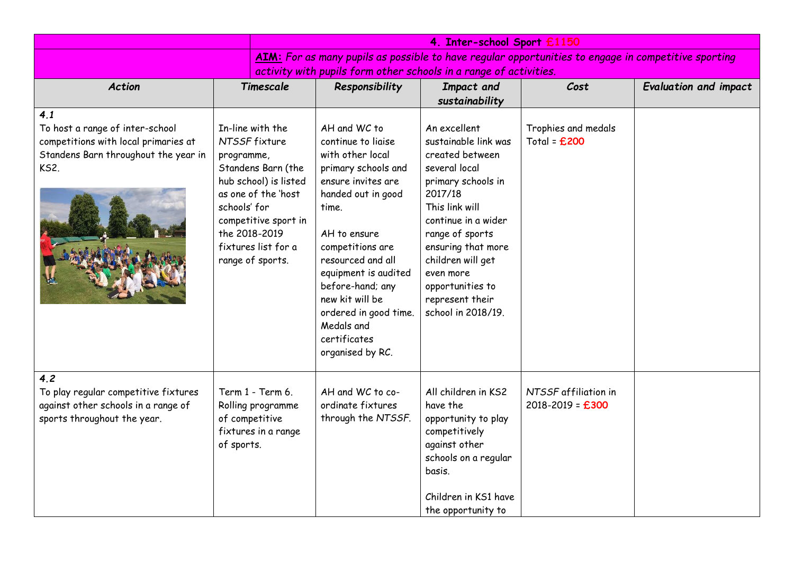|                                                                                                                                                                                                                   |                                             | 4. Inter-school Sport £1150                                                                                                                                                |                                                                                                                                                                                                                                                                                                                                       |                                                                                                                                                                                                                                                                                            |                                              |                              |  |
|-------------------------------------------------------------------------------------------------------------------------------------------------------------------------------------------------------------------|---------------------------------------------|----------------------------------------------------------------------------------------------------------------------------------------------------------------------------|---------------------------------------------------------------------------------------------------------------------------------------------------------------------------------------------------------------------------------------------------------------------------------------------------------------------------------------|--------------------------------------------------------------------------------------------------------------------------------------------------------------------------------------------------------------------------------------------------------------------------------------------|----------------------------------------------|------------------------------|--|
|                                                                                                                                                                                                                   |                                             | AIM: For as many pupils as possible to have regular opportunities to engage in competitive sporting                                                                        |                                                                                                                                                                                                                                                                                                                                       |                                                                                                                                                                                                                                                                                            |                                              |                              |  |
|                                                                                                                                                                                                                   |                                             |                                                                                                                                                                            | activity with pupils form other schools in a range of activities.                                                                                                                                                                                                                                                                     |                                                                                                                                                                                                                                                                                            |                                              |                              |  |
| <b>Action</b>                                                                                                                                                                                                     |                                             | Timescale                                                                                                                                                                  | Responsibility                                                                                                                                                                                                                                                                                                                        | Impact and                                                                                                                                                                                                                                                                                 | Cost                                         | <b>Evaluation and impact</b> |  |
| 4.1                                                                                                                                                                                                               |                                             |                                                                                                                                                                            |                                                                                                                                                                                                                                                                                                                                       | sustainability                                                                                                                                                                                                                                                                             |                                              |                              |  |
| To host a range of inter-school<br>competitions with local primaries at<br>Standens Barn throughout the year in<br><b>KS2.</b>                                                                                    | programme,<br>schools' for<br>the 2018-2019 | In-line with the<br>NTSSF fixture<br>Standens Barn (the<br>hub school) is listed<br>as one of the 'host<br>competitive sport in<br>fixtures list for a<br>range of sports. | AH and WC to<br>continue to liaise<br>with other local<br>primary schools and<br>ensure invites are<br>handed out in good<br>time.<br>AH to ensure<br>competitions are<br>resourced and all<br>equipment is audited<br>before-hand; any<br>new kit will be<br>ordered in good time.<br>Medals and<br>certificates<br>organised by RC. | An excellent<br>sustainable link was<br>created between<br>several local<br>primary schools in<br>2017/18<br>This link will<br>continue in a wider<br>range of sports<br>ensuring that more<br>children will get<br>even more<br>opportunities to<br>represent their<br>school in 2018/19. | Trophies and medals<br>Total = $£200$        |                              |  |
| 4.2<br>To play regular competitive fixtures<br>Term 1 - Term 6.<br>against other schools in a range of<br>Rolling programme<br>sports throughout the year.<br>of competitive<br>fixtures in a range<br>of sports. |                                             |                                                                                                                                                                            | AH and WC to co-<br>ordinate fixtures<br>through the NTSSF.                                                                                                                                                                                                                                                                           | All children in KS2<br>have the<br>opportunity to play<br>competitively<br>against other<br>schools on a regular<br>basis.<br>Children in KS1 have<br>the opportunity to                                                                                                                   | NTSSF affiliation in<br>$2018 - 2019 = £300$ |                              |  |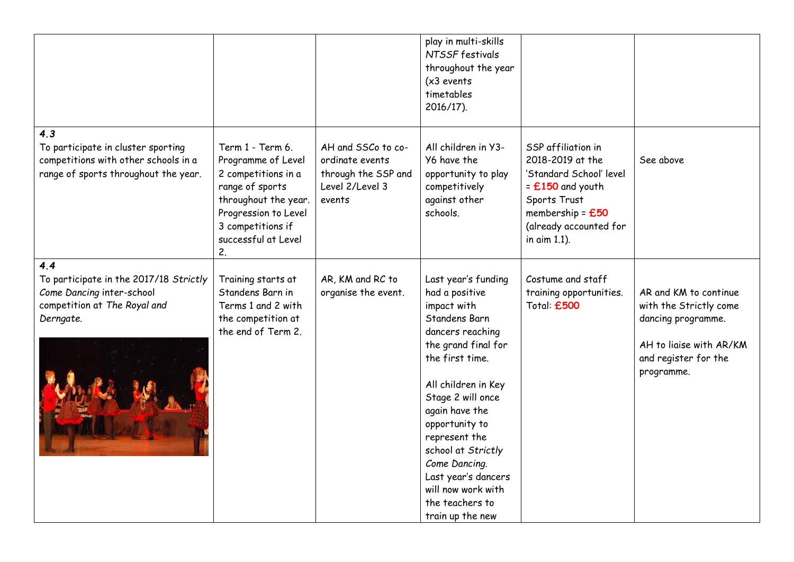|                                                                                                                           |                                                                                                                                                                                    |                                                                                           | play in multi-skills<br>NTSSF festivals<br>throughout the year<br>$(x3$ events<br>timetables<br>2016/17).                                                                                                                                                                                                                                                       |                                                                                                                                                                         |                                                                                                                                        |
|---------------------------------------------------------------------------------------------------------------------------|------------------------------------------------------------------------------------------------------------------------------------------------------------------------------------|-------------------------------------------------------------------------------------------|-----------------------------------------------------------------------------------------------------------------------------------------------------------------------------------------------------------------------------------------------------------------------------------------------------------------------------------------------------------------|-------------------------------------------------------------------------------------------------------------------------------------------------------------------------|----------------------------------------------------------------------------------------------------------------------------------------|
| 4.3<br>To participate in cluster sporting<br>competitions with other schools in a<br>range of sports throughout the year. | Term 1 - Term 6.<br>Programme of Level<br>2 competitions in a<br>range of sports<br>throughout the year.<br>Progression to Level<br>3 competitions if<br>successful at Level<br>2. | AH and SSCo to co-<br>ordinate events<br>through the SSP and<br>Level 2/Level 3<br>events | All children in Y3-<br>Y6 have the<br>opportunity to play<br>competitively<br>against other<br>schools.                                                                                                                                                                                                                                                         | SSP affiliation in<br>2018-2019 at the<br>'Standard School' level<br>$=$ £150 and youth<br>Sports Trust<br>membership = $£50$<br>(already accounted for<br>in aim 1.1). | See above                                                                                                                              |
| 4.4<br>To participate in the 2017/18 Strictly<br>Come Dancing inter-school<br>competition at The Royal and<br>Derngate.   | Training starts at<br>Standens Barn in<br>Terms 1 and 2 with<br>the competition at<br>the end of Term 2.                                                                           | AR, KM and RC to<br>organise the event.                                                   | Last year's funding<br>had a positive<br>impact with<br>Standens Barn<br>dancers reaching<br>the grand final for<br>the first time.<br>All children in Key<br>Stage 2 will once<br>again have the<br>opportunity to<br>represent the<br>school at Strictly<br>Come Dancing.<br>Last year's dancers<br>will now work with<br>the teachers to<br>train up the new | Costume and staff<br>training opportunities.<br>Total: £500                                                                                                             | AR and KM to continue<br>with the Strictly come<br>dancing programme.<br>AH to liaise with AR/KM<br>and register for the<br>programme. |